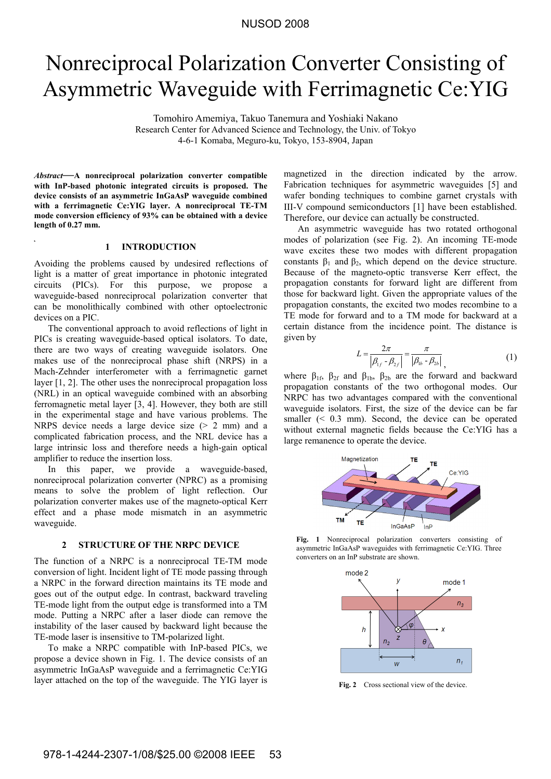# Nonreciprocal Polarization Converter Consisting of Asymmetric Waveguide with Ferrimagnetic Ce:YIG

Tomohiro Amemiya, Takuo Tanemura and Yoshiaki Nakano Research Center for Advanced Science and Technology, the Univ. of Tokyo 4-6-1 Komaba, Meguro-ku, Tokyo, 153-8904, Japan

*Abstract***—A nonreciprocal polarization converter compatible with InP-based photonic integrated circuits is proposed. The device consists of an asymmetric InGaAsP waveguide combined with a ferrimagnetic Ce:YIG layer. A nonreciprocal TE-TM mode conversion efficiency of 93% can be obtained with a device length of 0.27 mm.** 

## **1 INTRODUCTION**

Avoiding the problems caused by undesired reflections of light is a matter of great importance in photonic integrated circuits (PICs). For this purpose, we propose a waveguide-based nonreciprocal polarization converter that can be monolithically combined with other optoelectronic devices on a PIC.

The conventional approach to avoid reflections of light in PICs is creating waveguide-based optical isolators. To date, there are two ways of creating waveguide isolators. One makes use of the nonreciprocal phase shift (NRPS) in a Mach-Zehnder interferometer with a ferrimagnetic garnet layer [1, 2]. The other uses the nonreciprocal propagation loss (NRL) in an optical waveguide combined with an absorbing ferromagnetic metal layer [3, 4]. However, they both are still in the experimental stage and have various problems. The NRPS device needs a large device size (> 2 mm) and a complicated fabrication process, and the NRL device has a large intrinsic loss and therefore needs a high-gain optical amplifier to reduce the insertion loss.

In this paper, we provide a waveguide-based, nonreciprocal polarization converter (NPRC) as a promising means to solve the problem of light reflection. Our polarization converter makes use of the magneto-optical Kerr effect and a phase mode mismatch in an asymmetric waveguide.

### **2 STRUCTURE OF THE NRPC DEVICE**

The function of a NRPC is a nonreciprocal TE-TM mode conversion of light. Incident light of TE mode passing through a NRPC in the forward direction maintains its TE mode and goes out of the output edge. In contrast, backward traveling TE-mode light from the output edge is transformed into a TM mode. Putting a NRPC after a laser diode can remove the instability of the laser caused by backward light because the TE-mode laser is insensitive to TM-polarized light.

To make a NRPC compatible with InP-based PICs, we propose a device shown in Fig. 1. The device consists of an asymmetric InGaAsP waveguide and a ferrimagnetic Ce:YIG layer attached on the top of the waveguide. The YIG layer is

magnetized in the direction indicated by the arrow. Fabrication techniques for asymmetric waveguides [5] and wafer bonding techniques to combine garnet crystals with III-V compound semiconductors [1] have been established. Therefore, our device can actually be constructed.

An asymmetric waveguide has two rotated orthogonal modes of polarization (see Fig. 2). An incoming TE-mode wave excites these two modes with different propagation constants  $\beta_1$  and  $\beta_2$ , which depend on the device structure. Because of the magneto-optic transverse Kerr effect, the propagation constants for forward light are different from those for backward light. Given the appropriate values of the propagation constants, the excited two modes recombine to a TE mode for forward and to a TM mode for backward at a certain distance from the incidence point. The distance is given by

$$
L = \frac{2\pi}{\left|\beta_{1f} - \beta_{2f}\right|} = \frac{\pi}{\left|\beta_{1b} - \beta_{2b}\right|},
$$
 (1)

where  $\beta_{1f}$ ,  $\beta_{2f}$  and  $\beta_{1b}$ ,  $\beta_{2b}$  are the forward and backward propagation constants of the two orthogonal modes. Our NRPC has two advantages compared with the conventional waveguide isolators. First, the size of the device can be far smaller  $( $0.3 \text{ mm}$ ). Second, the device can be operated$ without external magnetic fields because the Ce:YIG has a large remanence to operate the device.



**Fig. 1** Nonreciprocal polarization converters consisting of asymmetric InGaAsP waveguides with ferrimagnetic Ce:YIG. Three converters on an InP substrate are shown.



Fig. 2 Cross sectional view of the device.